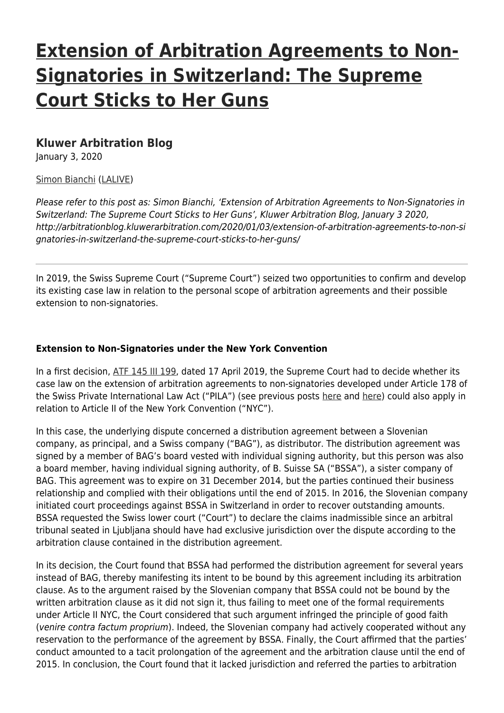# **[Extension of Arbitration Agreements to Non-](http://arbitrationblog.kluwerarbitration.com/2020/01/03/extension-of-arbitration-agreements-to-non-signatories-in-switzerland-the-supreme-court-sticks-to-her-guns/)[Signatories in Switzerland: The Supreme](http://arbitrationblog.kluwerarbitration.com/2020/01/03/extension-of-arbitration-agreements-to-non-signatories-in-switzerland-the-supreme-court-sticks-to-her-guns/) [Court Sticks to Her Guns](http://arbitrationblog.kluwerarbitration.com/2020/01/03/extension-of-arbitration-agreements-to-non-signatories-in-switzerland-the-supreme-court-sticks-to-her-guns/)**

# **[Kluwer Arbitration Blog](http://arbitrationblog.kluwerarbitration.com)**

January 3, 2020

[Simon Bianchi](http://arbitrationblog.kluwerarbitration.com/author/simon-bianchi/) ([LALIVE\)](http://arbitrationblog.kluwerarbitration.com/www.lalive.law)

Please refer to this post as: Simon Bianchi, 'Extension of Arbitration Agreements to Non-Signatories in Switzerland: The Supreme Court Sticks to Her Guns', Kluwer Arbitration Blog, January 3 2020, http://arbitrationblog.kluwerarbitration.com/2020/01/03/extension-of-arbitration-agreements-to-non-si gnatories-in-switzerland-the-supreme-court-sticks-to-her-guns/

In 2019, the Swiss Supreme Court ("Supreme Court") seized two opportunities to confirm and develop its existing case law in relation to the personal scope of arbitration agreements and their possible extension to non-signatories.

## **Extension to Non-Signatories under the New York Convention**

In a first decision, [ATF 145 III 199](https://www.bger.ch/ext/eurospider/live/fr/php/clir/http/index.php?highlight_docid=atf%3A%2F%2F145-III-199%3Afr&lang=fr&zoom=&type=show_document), dated 17 April 2019, the Supreme Court had to decide whether its case law on the extension of arbitration agreements to non-signatories developed under Article 178 of the Swiss Private International Law Act ("PILA") (see previous posts [here](http://arbitrationblog.kluwerarbitration.com/2009/04/27/arbitration-clauses-interpretation-and-extension-to-non-signatories/) and [here\)](http://arbitrationblog.kluwerarbitration.com/2009/05/14/no-extension-of-arbitration-agreement-to-non-signatory-parent-company-based-on-letter-of-guarantee/) could also apply in relation to Article II of the New York Convention ("NYC").

In this case, the underlying dispute concerned a distribution agreement between a Slovenian company, as principal, and a Swiss company ("BAG"), as distributor. The distribution agreement was signed by a member of BAG's board vested with individual signing authority, but this person was also a board member, having individual signing authority, of B. Suisse SA ("BSSA"), a sister company of BAG. This agreement was to expire on 31 December 2014, but the parties continued their business relationship and complied with their obligations until the end of 2015. In 2016, the Slovenian company initiated court proceedings against BSSA in Switzerland in order to recover outstanding amounts. BSSA requested the Swiss lower court ("Court") to declare the claims inadmissible since an arbitral tribunal seated in Ljubljana should have had exclusive jurisdiction over the dispute according to the arbitration clause contained in the distribution agreement.

In its decision, the Court found that BSSA had performed the distribution agreement for several years instead of BAG, thereby manifesting its intent to be bound by this agreement including its arbitration clause. As to the argument raised by the Slovenian company that BSSA could not be bound by the written arbitration clause as it did not sign it, thus failing to meet one of the formal requirements under Article II NYC, the Court considered that such argument infringed the principle of good faith (venire contra factum proprium). Indeed, the Slovenian company had actively cooperated without any reservation to the performance of the agreement by BSSA. Finally, the Court affirmed that the parties' conduct amounted to a tacit prolongation of the agreement and the arbitration clause until the end of 2015. In conclusion, the Court found that it lacked jurisdiction and referred the parties to arbitration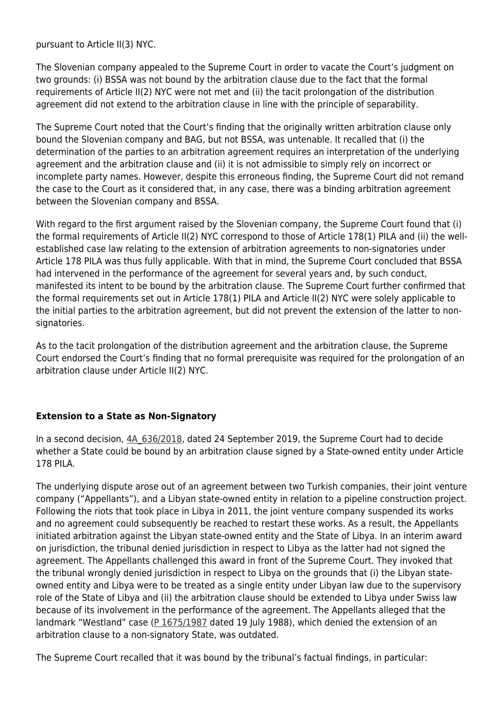pursuant to Article II(3) NYC.

The Slovenian company appealed to the Supreme Court in order to vacate the Court's judgment on two grounds: (i) BSSA was not bound by the arbitration clause due to the fact that the formal requirements of Article II(2) NYC were not met and (ii) the tacit prolongation of the distribution agreement did not extend to the arbitration clause in line with the principle of separability.

The Supreme Court noted that the Court's finding that the originally written arbitration clause only bound the Slovenian company and BAG, but not BSSA, was untenable. It recalled that (i) the determination of the parties to an arbitration agreement requires an interpretation of the underlying agreement and the arbitration clause and (ii) it is not admissible to simply rely on incorrect or incomplete party names. However, despite this erroneous finding, the Supreme Court did not remand the case to the Court as it considered that, in any case, there was a binding arbitration agreement between the Slovenian company and BSSA.

With regard to the first argument raised by the Slovenian company, the Supreme Court found that (i) the formal requirements of Article II(2) NYC correspond to those of Article 178(1) PILA and (ii) the wellestablished case law relating to the extension of arbitration agreements to non-signatories under Article 178 PILA was thus fully applicable. With that in mind, the Supreme Court concluded that BSSA had intervened in the performance of the agreement for several years and, by such conduct, manifested its intent to be bound by the arbitration clause. The Supreme Court further confirmed that the formal requirements set out in Article 178(1) PILA and Article II(2) NYC were solely applicable to the initial parties to the arbitration agreement, but did not prevent the extension of the latter to nonsignatories.

As to the tacit prolongation of the distribution agreement and the arbitration clause, the Supreme Court endorsed the Court's finding that no formal prerequisite was required for the prolongation of an arbitration clause under Article II(2) NYC.

### **Extension to a State as Non-Signatory**

In a second decision,  $4A$  636/2018, dated 24 September 2019, the Supreme Court had to decide whether a State could be bound by an arbitration clause signed by a State-owned entity under Article 178 PILA.

The underlying dispute arose out of an agreement between two Turkish companies, their joint venture company ("Appellants"), and a Libyan state-owned entity in relation to a pipeline construction project. Following the riots that took place in Libya in 2011, the joint venture company suspended its works and no agreement could subsequently be reached to restart these works. As a result, the Appellants initiated arbitration against the Libyan state-owned entity and the State of Libya. In an interim award on jurisdiction, the tribunal denied jurisdiction in respect to Libya as the latter had not signed the agreement. The Appellants challenged this award in front of the Supreme Court. They invoked that the tribunal wrongly denied jurisdiction in respect to Libya on the grounds that (i) the Libyan stateowned entity and Libya were to be treated as a single entity under Libyan law due to the supervisory role of the State of Libya and (ii) the arbitration clause should be extended to Libya under Swiss law because of its involvement in the performance of the agreement. The Appellants alleged that the landmark "Westland" case ([P 1675/1987](http://www.kluwerarbitration.com/document/kli-ka-1027208-n?title=ASA%20Bulletin) dated 19 July 1988), which denied the extension of an arbitration clause to a non-signatory State, was outdated.

The Supreme Court recalled that it was bound by the tribunal's factual findings, in particular: